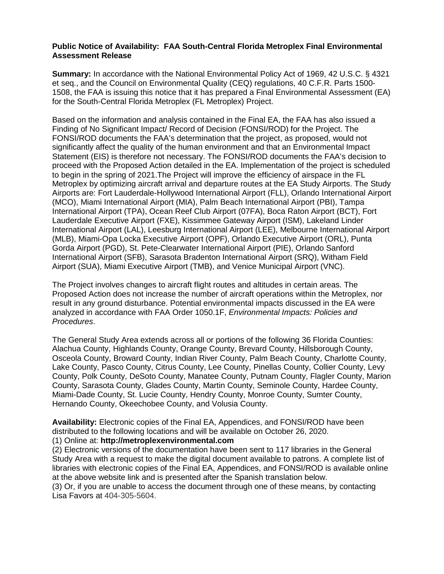## **Public Notice of Availability: FAA South-Central Florida Metroplex Final Environmental Assessment Release**

**Summary:** In accordance with the National Environmental Policy Act of 1969, 42 U.S.C. § 4321 et seq., and the Council on Environmental Quality (CEQ) regulations, 40 C.F.R. Parts 1500- 1508, the FAA is issuing this notice that it has prepared a Final Environmental Assessment (EA) for the South-Central Florida Metroplex (FL Metroplex) Project.

Based on the information and analysis contained in the Final EA, the FAA has also issued a Finding of No Significant Impact/ Record of Decision (FONSI/ROD) for the Project. The FONSI/ROD documents the FAA's determination that the project, as proposed, would not significantly affect the quality of the human environment and that an Environmental Impact Statement (EIS) is therefore not necessary. The FONSI/ROD documents the FAA's decision to proceed with the Proposed Action detailed in the EA. Implementation of the project is scheduled to begin in the spring of 2021.The Project will improve the efficiency of airspace in the FL Metroplex by optimizing aircraft arrival and departure routes at the EA Study Airports. The Study Airports are: Fort Lauderdale-Hollywood International Airport (FLL), Orlando International Airport (MCO), Miami International Airport (MIA), Palm Beach International Airport (PBI), Tampa International Airport (TPA), Ocean Reef Club Airport (07FA), Boca Raton Airport (BCT), Fort Lauderdale Executive Airport (FXE), Kissimmee Gateway Airport (ISM), Lakeland Linder International Airport (LAL), Leesburg International Airport (LEE), Melbourne International Airport (MLB), Miami-Opa Locka Executive Airport (OPF), Orlando Executive Airport (ORL), Punta Gorda Airport (PGD), St. Pete-Clearwater International Airport (PIE), Orlando Sanford International Airport (SFB), Sarasota Bradenton International Airport (SRQ), Witham Field Airport (SUA), Miami Executive Airport (TMB), and Venice Municipal Airport (VNC).

The Project involves changes to aircraft flight routes and altitudes in certain areas. The Proposed Action does not increase the number of aircraft operations within the Metroplex, nor result in any ground disturbance. Potential environmental impacts discussed in the EA were analyzed in accordance with FAA Order 1050.1F, *Environmental Impacts: Policies and Procedures*.

The General Study Area extends across all or portions of the following 36 Florida Counties: Alachua County, Highlands County, Orange County, Brevard County, Hillsborough County, Osceola County, Broward County, Indian River County, Palm Beach County, Charlotte County, Lake County, Pasco County, Citrus County, Lee County, Pinellas County, Collier County, Levy County, Polk County, DeSoto County, Manatee County, Putnam County, Flagler County, Marion County, Sarasota County, Glades County, Martin County, Seminole County, Hardee County, Miami-Dade County, St. Lucie County, Hendry County, Monroe County, Sumter County, Hernando County, Okeechobee County, and Volusia County.

**Availability:** Electronic copies of the Final EA, Appendices, and FONSI/ROD have been distributed to the following locations and will be available on October 26, 2020.

(1) Online at: **http://metroplexenvironmental.com**

(2) Electronic versions of the documentation have been sent to 117 libraries in the General Study Area with a request to make the digital document available to patrons. A complete list of libraries with electronic copies of the Final EA, Appendices, and FONSI/ROD is available online at the above website link and is presented after the Spanish translation below.

(3) Or, if you are unable to access the document through one of these means, by contacting Lisa Favors at 404-305-5604.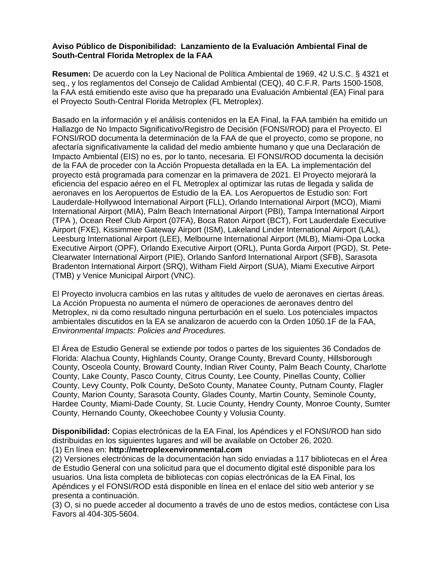## **Aviso Público de Disponibilidad: Lanzamiento de la Evaluación Ambiental Final de South-Central Florida Metroplex de la FAA**

**Resumen:** De acuerdo con la Ley Nacional de Política Ambiental de 1969, 42 U.S.C. § 4321 et seq., y los reglamentos del Consejo de Calidad Ambiental (CEQ), 40 C.F.R. Parts 1500-1508, la FAA está emitiendo este aviso que ha preparado una Evaluación Ambiental (EA) Final para el Proyecto South-Central Florida Metroplex (FL Metroplex).

Basado en la información y el análisis contenidos en la EA Final, la FAA también ha emitido un Hallazgo de No Impacto Significativo/Registro de Decisión (FONSI/ROD) para el Proyecto. El FONSI/ROD documenta la determinación de la FAA de que el proyecto, como se propone, no afectaría significativamente la calidad del medio ambiente humano y que una Declaración de Impacto Ambiental (EIS) no es, por lo tanto, necesaria. El FONSI/ROD documenta la decisión de la FAA de proceder con la Acción Propuesta detallada en la EA. La implementación del proyecto está programada para comenzar en la primavera de 2021. El Proyecto mejorará la eficiencia del espacio aéreo en el FL Metroplex al optimizar las rutas de llegada y salida de aeronaves en los Aeropuertos de Estudio de la EA. Los Aeropuertos de Estudio son: Fort Lauderdale-Hollywood International Airport (FLL), Orlando International Airport (MCO), Miami International Airport (MIA), Palm Beach International Airport (PBI), Tampa International Airport (TPA ), Ocean Reef Club Airport (07FA), Boca Raton Airport (BCT), Fort Lauderdale Executive Airport (FXE), Kissimmee Gateway Airport (ISM), Lakeland Linder International Airport (LAL), Leesburg International Airport (LEE), Melbourne International Airport (MLB), Miami-Opa Locka Executive Airport (OPF), Orlando Executive Airport (ORL), Punta Gorda Airport (PGD), St. Pete-Clearwater International Airport (PIE), Orlando Sanford International Airport (SFB), Sarasota Bradenton International Airport (SRQ), Witham Field Airport (SUA), Miami Executive Airport (TMB) y Venice Municipal Airport (VNC).

El Proyecto involucra cambios en las rutas y altitudes de vuelo de aeronaves en ciertas áreas. La Acción Propuesta no aumenta el número de operaciones de aeronaves dentro del Metroplex, ni da como resultado ninguna perturbación en el suelo. Los potenciales impactos ambientales discutidos en la EA se analizaron de acuerdo con la Orden 1050.1F de la FAA, *Environmental Impacts: Policies and Procedures.*

El Área de Estudio General se extiende por todos o partes de los siguientes 36 Condados de Florida: Alachua County, Highlands County, Orange County, Brevard County, Hillsborough County, Osceola County, Broward County, Indian River County, Palm Beach County, Charlotte County, Lake County, Pasco County, Citrus County, Lee County, Pinellas County, Collier County, Levy County, Polk County, DeSoto County, Manatee County, Putnam County, Flagler County, Marion County, Sarasota County, Glades County, Martin County, Seminole County, Hardee County, Miami-Dade County, St. Lucie County, Hendry County, Monroe County, Sumter County, Hernando County, Okeechobee County y Volusia County.

**Disponibilidad:** Copias electrónicas de la EA Final, los Apéndices y el FONSI/ROD han sido distribuidas en los siguientes lugares and will be available on October 26, 2020. (1) En línea en: **http://metroplexenvironmental.com**

(2) Versiones electrónicas de la documentación han sido enviadas a 117 bibliotecas en el Área de Estudio General con una solicitud para que el documento digital esté disponible para los usuarios. Una lista completa de bibliotecas con copias electrónicas de la EA Final, los Apéndices y el FONSI/ROD está disponible en línea en el enlace del sitio web anterior y se presenta a continuación.

(3) O, si no puede acceder al documento a través de uno de estos medios, contáctese con Lisa Favors al 404-305-5604.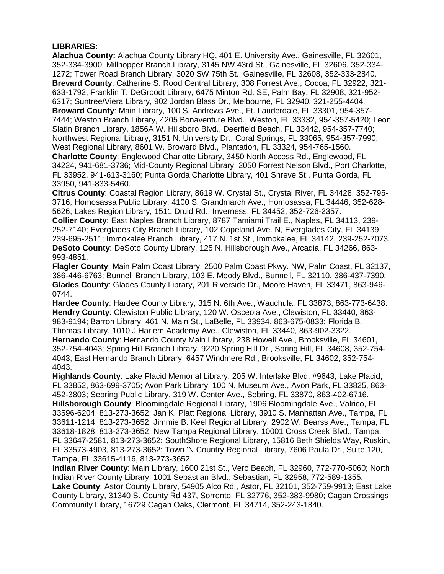## **LIBRARIES:**

**Alachua County:** Alachua County Library HQ, 401 E. University Ave., Gainesville, FL 32601, 352-334-3900; Millhopper Branch Library, 3145 NW 43rd St., Gainesville, FL 32606, 352-334- 1272; Tower Road Branch Library, 3020 SW 75th St., Gainesville, FL 32608, 352-333-2840. **Brevard County**: Catherine S. Rood Central Library, 308 Forrest Ave., Cocoa, FL 32922, 321- 633-1792; Franklin T. DeGroodt Library, 6475 Minton Rd. SE, Palm Bay, FL 32908, 321-952- 6317; Suntree/Viera Library, 902 Jordan Blass Dr., Melbourne, FL 32940, 321-255-4404. **Broward County**: Main Library, 100 S. Andrews Ave., Ft. Lauderdale, FL 33301, 954-357- 7444; Weston Branch Library, 4205 Bonaventure Blvd., Weston, FL 33332, 954-357-5420; Leon Slatin Branch Library, 1856A W. Hillsboro Blvd., Deerfield Beach, FL 33442, 954-357-7740; Northwest Regional Library, 3151 N. University Dr., Coral Springs, FL 33065, 954-357-7990; West Regional Library, 8601 W. Broward Blvd., Plantation, FL 33324, 954-765-1560. **Charlotte County**: Englewood Charlotte Library, 3450 North Access Rd., Englewood, FL

34224, 941-681-3736; Mid-County Regional Library, 2050 Forrest Nelson Blvd., Port Charlotte, FL 33952, 941-613-3160; Punta Gorda Charlotte Library, 401 Shreve St., Punta Gorda, FL 33950, 941-833-5460.

**Citrus County**: Coastal Region Library, 8619 W. Crystal St., Crystal River, FL 34428, 352-795- 3716; Homosassa Public Library, 4100 S. Grandmarch Ave., Homosassa, FL 34446, 352-628- 5626; Lakes Region Library, 1511 Druid Rd., Inverness, FL 34452, 352-726-2357.

**Collier County**: East Naples Branch Library, 8787 Tamiami Trail E., Naples, FL 34113, 239- 252-7140; Everglades City Branch Library, 102 Copeland Ave. N, Everglades City, FL 34139, 239-695-2511; Immokalee Branch Library, 417 N. 1st St., Immokalee, FL 34142, 239-252-7073. **DeSoto County**: DeSoto County Library, 125 N. Hillsborough Ave., Arcadia, FL 34266, 863- 993-4851.

**Flagler County**: Main Palm Coast Library, 2500 Palm Coast Pkwy. NW, Palm Coast, FL 32137, 386-446-6763; Bunnell Branch Library, 103 E. Moody Blvd., Bunnell, FL 32110, 386-437-7390. **Glades County**: Glades County Library, 201 Riverside Dr., Moore Haven, FL 33471, 863-946- 0744.

**Hardee County**: Hardee County Library, 315 N. 6th Ave., Wauchula, FL 33873, 863-773-6438. **Hendry County**: Clewiston Public Library, 120 W. Osceola Ave., Clewiston, FL 33440, 863- 983-9194; Barron Library, 461 N. Main St., LaBelle, FL 33934, 863-675-0833; Florida B. Thomas Library, 1010 J Harlem Academy Ave., Clewiston, FL 33440, 863-902-3322. **Hernando County**: Hernando County Main Library, 238 Howell Ave., Brooksville, FL 34601, 352-754-4043; Spring Hill Branch Library, 9220 Spring Hill Dr., Spring Hill, FL 34608, 352-754- 4043; East Hernando Branch Library, 6457 Windmere Rd., Brooksville, FL 34602, 352-754- 4043.

**Highlands County**: Lake Placid Memorial Library, 205 W. Interlake Blvd. #9643, Lake Placid, FL 33852, 863-699-3705; Avon Park Library, 100 N. Museum Ave., Avon Park, FL 33825, 863- 452-3803; Sebring Public Library, 319 W. Center Ave., Sebring, FL 33870, 863-402-6716. **Hillsborough County**: Bloomingdale Regional Library, 1906 Bloomingdale Ave., Valrico, FL 33596-6204, 813-273-3652; Jan K. Platt Regional Library, 3910 S. Manhattan Ave., Tampa, FL 33611-1214, 813-273-3652; Jimmie B. Keel Regional Library, 2902 W. Bearss Ave., Tampa, FL 33618-1828, 813-273-3652; New Tampa Regional Library, 10001 Cross Creek Blvd., Tampa, FL 33647-2581, 813-273-3652; SouthShore Regional Library, 15816 Beth Shields Way, Ruskin, FL 33573-4903, 813-273-3652; Town 'N Country Regional Library, 7606 Paula Dr., Suite 120, Tampa, FL 33615-4116, 813-273-3652.

**Indian River County**: Main Library, 1600 21st St., Vero Beach, FL 32960, 772-770-5060; North Indian River County Library, 1001 Sebastian Blvd., Sebastian, FL 32958, 772-589-1355. **Lake County**: Astor County Library, 54905 Alco Rd., Astor, FL 32101, 352-759-9913; East Lake County Library, 31340 S. County Rd 437, Sorrento, FL 32776, 352-383-9980; Cagan Crossings Community Library, 16729 Cagan Oaks, Clermont, FL 34714, 352-243-1840.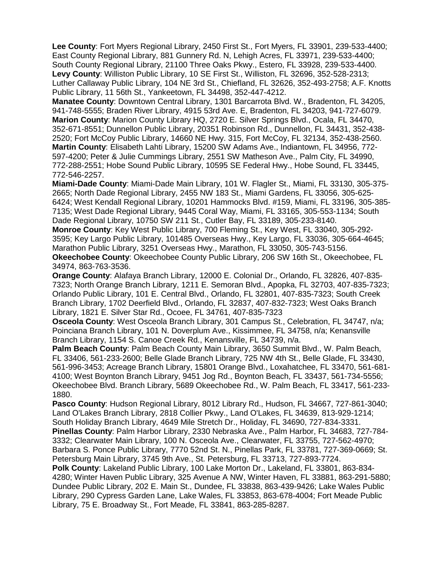**Lee County**: Fort Myers Regional Library, 2450 First St., Fort Myers, FL 33901, 239-533-4400; East County Regional Library, 881 Gunnery Rd. N, Lehigh Acres, FL 33971, 239-533-4400; South County Regional Library, 21100 Three Oaks Pkwy., Estero, FL 33928, 239-533-4400. **Levy County**: Williston Public Library, 10 SE First St., Williston, FL 32696, 352-528-2313; Luther Callaway Public Library, 104 NE 3rd St., Chiefland, FL 32626, 352-493-2758; A.F. Knotts Public Library, 11 56th St., Yankeetown, FL 34498, 352-447-4212.

**Manatee County**: Downtown Central Library, 1301 Barcarrota Blvd. W., Bradenton, FL 34205, 941-748-5555; Braden River Library, 4915 53rd Ave. E, Bradenton, FL 34203, 941-727-6079. **Marion County**: Marion County Library HQ, 2720 E. Silver Springs Blvd., Ocala, FL 34470, 352-671-8551; Dunnellon Public Library, 20351 Robinson Rd., Dunnellon, FL 34431, 352-438- 2520; Fort McCoy Public Library, 14660 NE Hwy. 315, Fort McCoy, FL 32134, 352-438-2560. **Martin County**: Elisabeth Lahti Library, 15200 SW Adams Ave., Indiantown, FL 34956, 772- 597-4200; Peter & Julie Cummings Library, 2551 SW Matheson Ave., Palm City, FL 34990, 772-288-2551; Hobe Sound Public Library, 10595 SE Federal Hwy., Hobe Sound, FL 33445, 772-546-2257.

**Miami-Dade County**: Miami-Dade Main Library, 101 W. Flagler St., Miami, FL 33130, 305-375- 2665; North Dade Regional Library, 2455 NW 183 St., Miami Gardens, FL 33056, 305-625- 6424; West Kendall Regional Library, 10201 Hammocks Blvd. #159, Miami, FL 33196, 305-385- 7135; West Dade Regional Library, 9445 Coral Way, Miami, FL 33165, 305-553-1134; South Dade Regional Library, 10750 SW 211 St., Cutler Bay, FL 33189, 305-233-8140.

**Monroe County**: Key West Public Library, 700 Fleming St., Key West, FL 33040, 305-292- 3595; Key Largo Public Library, 101485 Overseas Hwy., Key Largo, FL 33036, 305-664-4645; Marathon Public Library, 3251 Overseas Hwy., Marathon, FL 33050, 305-743-5156. **Okeechobee County**: Okeechobee County Public Library, 206 SW 16th St., Okeechobee, FL 34974, 863-763-3536.

**Orange County**: Alafaya Branch Library, 12000 E. Colonial Dr., Orlando, FL 32826, 407-835- 7323; North Orange Branch Library, 1211 E. Semoran Blvd., Apopka, FL 32703, 407-835-7323; Orlando Public Library, 101 E. Central Blvd., Orlando, FL 32801, 407-835-7323; South Creek Branch Library, 1702 Deerfield Blvd., Orlando, FL 32837, 407-832-7323; West Oaks Branch Library, 1821 E. Silver Star Rd., Ocoee, FL 34761, 407-835-7323

**Osceola County**: West Osceola Branch Library, 301 Campus St., Celebration, FL 34747, n/a; Poinciana Branch Library, 101 N. Doverplum Ave., Kissimmee, FL 34758, n/a; Kenansville Branch Library, 1154 S. Canoe Creek Rd., Kenansville, FL 34739, n/a.

**Palm Beach County**: Palm Beach County Main Library, 3650 Summit Blvd., W. Palm Beach, FL 33406, 561-233-2600; Belle Glade Branch Library, 725 NW 4th St., Belle Glade, FL 33430, 561-996-3453; Acreage Branch Library, 15801 Orange Blvd., Loxahatchee, FL 33470, 561-681- 4100; West Boynton Branch Library, 9451 Jog Rd., Boynton Beach, FL 33437, 561-734-5556; Okeechobee Blvd. Branch Library, 5689 Okeechobee Rd., W. Palm Beach, FL 33417, 561-233- 1880.

**Pasco County**: Hudson Regional Library, 8012 Library Rd., Hudson, FL 34667, 727-861-3040; Land O'Lakes Branch Library, 2818 Collier Pkwy., Land O'Lakes, FL 34639, 813-929-1214; South Holiday Branch Library, 4649 Mile Stretch Dr., Holiday, FL 34690, 727-834-3331. **Pinellas County**: Palm Harbor Library, 2330 Nebraska Ave., Palm Harbor, FL 34683, 727-784- 3332; Clearwater Main Library, 100 N. Osceola Ave., Clearwater, FL 33755, 727-562-4970; Barbara S. Ponce Public Library, 7770 52nd St. N., Pinellas Park, FL 33781, 727-369-0669; St. Petersburg Main Library, 3745 9th Ave., St. Petersburg, FL 33713, 727-893-7724.

**Polk County**: Lakeland Public Library, 100 Lake Morton Dr., Lakeland, FL 33801, 863-834- 4280; Winter Haven Public Library, 325 Avenue A NW, Winter Haven, FL 33881, 863-291-5880; Dundee Public Library, 202 E. Main St., Dundee, FL 33838, 863-439-9426; Lake Wales Public Library, 290 Cypress Garden Lane, Lake Wales, FL 33853, 863-678-4004; Fort Meade Public Library, 75 E. Broadway St., Fort Meade, FL 33841, 863-285-8287.